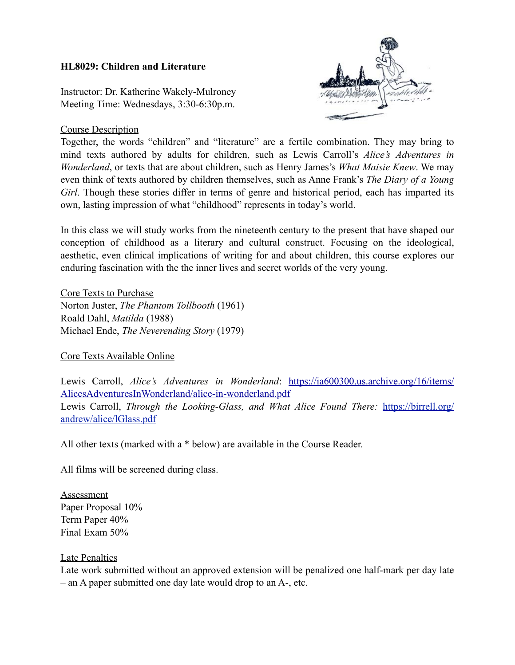### **HL8029: Children and Literature**

Instructor: Dr. Katherine Wakely-Mulroney Meeting Time: Wednesdays, 3:30-6:30p.m.

## Course Description



Together, the words "children" and "literature" are a fertile combination. They may bring to mind texts authored by adults for children, such as Lewis Carroll's *Alice's Adventures in Wonderland*, or texts that are about children, such as Henry James's *What Maisie Knew*. We may even think of texts authored by children themselves, such as Anne Frank's *The Diary of a Young Girl*. Though these stories differ in terms of genre and historical period, each has imparted its own, lasting impression of what "childhood" represents in today's world.

In this class we will study works from the nineteenth century to the present that have shaped our conception of childhood as a literary and cultural construct. Focusing on the ideological, aesthetic, even clinical implications of writing for and about children, this course explores our enduring fascination with the the inner lives and secret worlds of the very young.

Core Texts to Purchase Norton Juster, *The Phantom Tollbooth* (1961) Roald Dahl, *Matilda* (1988) Michael Ende, *The Neverending Story* (1979)

### Core Texts Available Online

Lewis Carroll, *Alice's Adventures in Wonderland*: [https://ia600300.us.archive.org/16/items/](https://ia600300.us.archive.org/16/items/AlicesAdventuresInWonderland/alice-in-wonderland.pdf) [AlicesAdventuresInWonderland/alice-in-wonderland.pdf](https://ia600300.us.archive.org/16/items/AlicesAdventuresInWonderland/alice-in-wonderland.pdf) Lewis Carroll, *Through the Looking-Glass, and What Alice Found There:* [https://birrell.org/](https://birrell.org/andrew/alice/lGlass.pdf) [andrew/alice/lGlass.pdf](https://birrell.org/andrew/alice/lGlass.pdf)

All other texts (marked with a \* below) are available in the Course Reader.

All films will be screened during class.

**Assessment** Paper Proposal 10% Term Paper 40% Final Exam 50%

### Late Penalties

Late work submitted without an approved extension will be penalized one half-mark per day late – an A paper submitted one day late would drop to an A-, etc.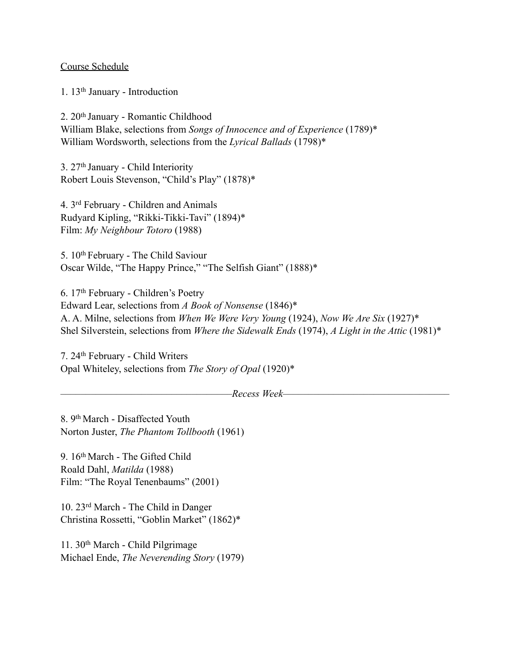#### Course Schedule

1. 13th January - Introduction

2. 20<sup>th</sup> January - Romantic Childhood William Blake, selections from *Songs of Innocence and of Experience* (1789)\* William Wordsworth, selections from the *Lyrical Ballads* (1798)\*

3. 27th January - Child Interiority Robert Louis Stevenson, "Child's Play" (1878)\*

4. 3rd February - Children and Animals Rudyard Kipling, "Rikki-Tikki-Tavi" (1894)\* Film: *My Neighbour Totoro* (1988)

5. 10th February - The Child Saviour Oscar Wilde, "The Happy Prince," "The Selfish Giant" (1888)\*

6. 17th February - Children's Poetry Edward Lear, selections from *A Book of Nonsense* (1846)\* A. A. Milne, selections from *When We Were Very Young* (1924), *Now We Are Six* (1927)\* Shel Silverstein, selections from *Where the Sidewalk Ends* (1974), *A Light in the Attic* (1981)\*

7. 24th February - Child Writers Opal Whiteley, selections from *The Story of Opal* (1920)\*

*––––––––––––––––––––––––––––––––––Recess Week–––––––––––––––––––––––––––––––––*

8. 9th March - Disaffected Youth Norton Juster, *The Phantom Tollbooth* (1961)

9. 16th March - The Gifted Child Roald Dahl, *Matilda* (1988) Film: "The Royal Tenenbaums" (2001)

10. 23rd March - The Child in Danger Christina Rossetti, "Goblin Market" (1862)\*

11. 30th March - Child Pilgrimage Michael Ende, *The Neverending Story* (1979)